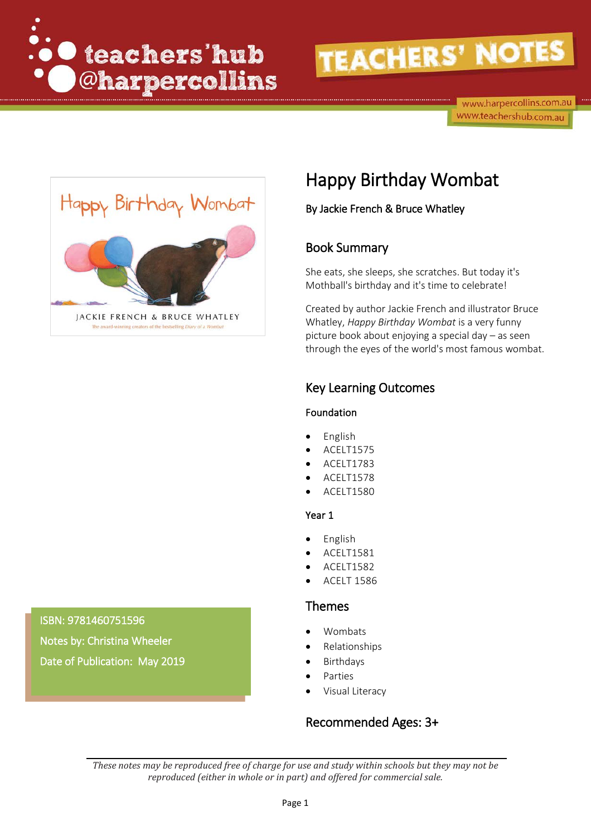

# **TEACHERS' NOTES**

www.harpercollins.com.au www.teachershub.com.au



# Happy Birthday Wombat

By Jackie French & Bruce Whatley

### Book Summary

She eats, she sleeps, she scratches. But today it's Mothball's birthday and it's time to celebrate!

Created by author Jackie French and illustrator Bruce Whatley, *Happy Birthday Wombat* is a very funny picture book about enjoying a special day – as seen through the eyes of the world's most famous wombat.

## Key Learning Outcomes

#### Foundation

- English
- ACELT1575
- ACELT1783
- ACELT1578
- ACELT1580

#### Year 1

- English
- ACELT1581
- ACELT1582
- ACELT 1586

#### Themes

- Wombats
- Relationships
- **Birthdays**
- **Parties**
- Visual Literacy

### Recommended Ages: 3+

*These notes may be reproduced free of charge for use and study within schools but they may not be reproduced (either in whole or in part) and offered for commercial sale.*

#### ISBN: 9781460751596

**Dr**  Notes by: Christina Wheeler Date of Publication: May 2019